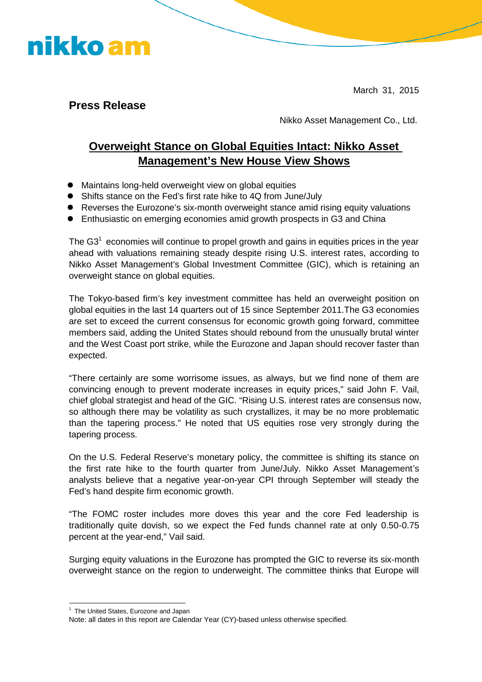March 31, 2015

**Press Release**

nikko am

Nikko Asset Management Co., Ltd.

## **Overweight Stance on Global Equities Intact: Nikko Asset Management's New House View Shows**

- Maintains long-held overweight view on global equities
- Shifts stance on the Fed's first rate hike to 4Q from June/July
- Reverses the Eurozone's six-month overweight stance amid rising equity valuations
- Enthusiastic on emerging economies amid growth prospects in G3 and China

The G3<sup>1</sup> economies will continue to propel growth and gains in equities prices in the year ahead with valuations remaining steady despite rising U.S. interest rates, according to Nikko Asset Management's Global Investment Committee (GIC), which is retaining an overweight stance on global equities.

The Tokyo-based firm's key investment committee has held an overweight position on global equities in the last 14 quarters out of 15 since September 2011.The G3 economies are set to exceed the current consensus for economic growth going forward, committee members said, adding the United States should rebound from the unusually brutal winter and the West Coast port strike, while the Eurozone and Japan should recover faster than expected.

"There certainly are some worrisome issues, as always, but we find none of them are convincing enough to prevent moderate increases in equity prices," said John F. Vail, chief global strategist and head of the GIC. "Rising U.S. interest rates are consensus now, so although there may be volatility as such crystallizes, it may be no more problematic than the tapering process." He noted that US equities rose very strongly during the tapering process.

On the U.S. Federal Reserve's monetary policy, the committee is shifting its stance on the first rate hike to the fourth quarter from June/July. Nikko Asset Management's analysts believe that a negative year-on-year CPI through September will steady the Fed's hand despite firm economic growth.

"The FOMC roster includes more doves this year and the core Fed leadership is traditionally quite dovish, so we expect the Fed funds channel rate at only 0.50-0.75 percent at the year-end," Vail said.

Surging equity valuations in the Eurozone has prompted the GIC to reverse its six-month overweight stance on the region to underweight. The committee thinks that Europe will

<sup>&</sup>lt;sup>1</sup> The United States, Eurozone and Japan

Note: all dates in this report are Calendar Year (CY)-based unless otherwise specified.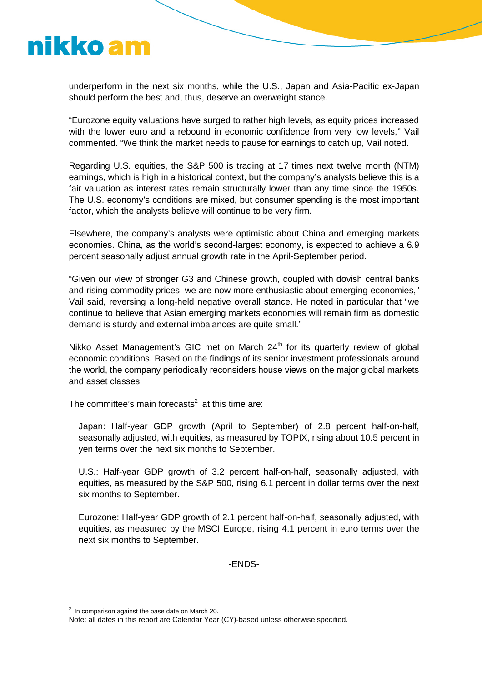

underperform in the next six months, while the U.S., Japan and Asia-Pacific ex-Japan should perform the best and, thus, deserve an overweight stance.

"Eurozone equity valuations have surged to rather high levels, as equity prices increased with the lower euro and a rebound in economic confidence from very low levels," Vail commented. "We think the market needs to pause for earnings to catch up, Vail noted.

Regarding U.S. equities, the S&P 500 is trading at 17 times next twelve month (NTM) earnings, which is high in a historical context, but the company's analysts believe this is a fair valuation as interest rates remain structurally lower than any time since the 1950s. The U.S. economy's conditions are mixed, but consumer spending is the most important factor, which the analysts believe will continue to be very firm.

Elsewhere, the company's analysts were optimistic about China and emerging markets economies. China, as the world's second-largest economy, is expected to achieve a 6.9 percent seasonally adjust annual growth rate in the April-September period.

"Given our view of stronger G3 and Chinese growth, coupled with dovish central banks and rising commodity prices, we are now more enthusiastic about emerging economies," Vail said, reversing a long-held negative overall stance. He noted in particular that "we continue to believe that Asian emerging markets economies will remain firm as domestic demand is sturdy and external imbalances are quite small."

Nikko Asset Management's GIC met on March 24<sup>th</sup> for its quarterly review of global economic conditions. Based on the findings of its senior investment professionals around the world, the company periodically reconsiders house views on the major global markets and asset classes.

The committee's main forecasts<sup>2</sup> at this time are:

Japan: Half-year GDP growth (April to September) of 2.8 percent half-on-half, seasonally adjusted, with equities, as measured by TOPIX, rising about 10.5 percent in yen terms over the next six months to September.

U.S.: Half-year GDP growth of 3.2 percent half-on-half, seasonally adjusted, with equities, as measured by the S&P 500, rising 6.1 percent in dollar terms over the next six months to September.

Eurozone: Half-year GDP growth of 2.1 percent half-on-half, seasonally adjusted, with equities, as measured by the MSCI Europe, rising 4.1 percent in euro terms over the next six months to September.

-ENDS-

 $2$  In comparison against the base date on March 20.

Note: all dates in this report are Calendar Year (CY)-based unless otherwise specified.